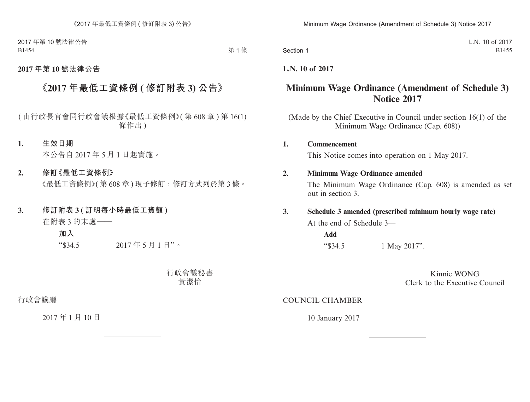2017 年第 10 號法律公告 B1454

第1條

# **2017 年第 10 號法律公告**

# **《2017 年最低工資條例 ( 修訂附表 3) 公告》**

( 由行政長官會同行政會議根據《最低工資條例》( 第 608 章 ) 第 16(1) 條作出 )

#### **1. 生效日期**

本公告自 2017 年 5 月 1 日起實施。

### **2. 修訂《最低工資條例》**

《最低工資條例》(第608章)現予修訂,修訂方式列於第3條。

### **3. 修訂附表 3 ( 訂明每小時最低工資額 )**

在附表 3 的末處——

**加入**

"\$34.5 2017 年 5 月 1 日"。

行政會議秘書 黃潔怡

行政會議廳

2017 年 1 月 10 日